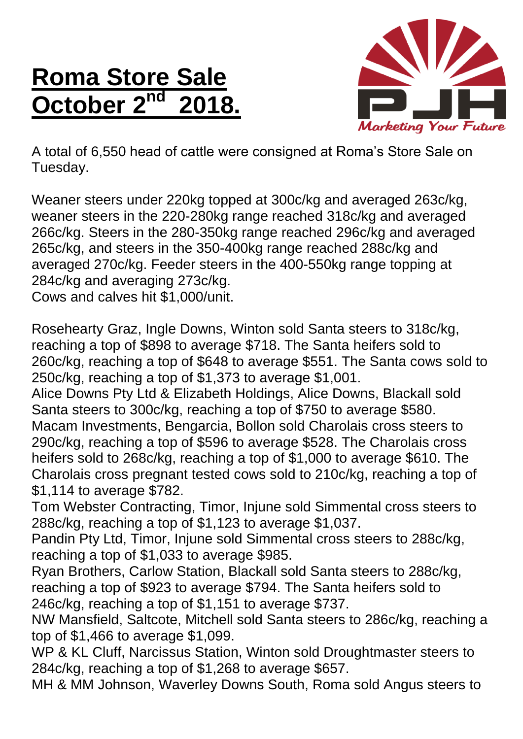## **Roma Store Sale October 2<sup>nd</sup>**



A total of 6,550 head of cattle were consigned at Roma's Store Sale on Tuesday.

Weaner steers under 220kg topped at 300c/kg and averaged 263c/kg, weaner steers in the 220-280kg range reached 318c/kg and averaged 266c/kg. Steers in the 280-350kg range reached 296c/kg and averaged 265c/kg, and steers in the 350-400kg range reached 288c/kg and averaged 270c/kg. Feeder steers in the 400-550kg range topping at 284c/kg and averaging 273c/kg.

Cows and calves hit \$1,000/unit.

Rosehearty Graz, Ingle Downs, Winton sold Santa steers to 318c/kg, reaching a top of \$898 to average \$718. The Santa heifers sold to 260c/kg, reaching a top of \$648 to average \$551. The Santa cows sold to 250c/kg, reaching a top of \$1,373 to average \$1,001.

Alice Downs Pty Ltd & Elizabeth Holdings, Alice Downs, Blackall sold Santa steers to 300c/kg, reaching a top of \$750 to average \$580.

Macam Investments, Bengarcia, Bollon sold Charolais cross steers to 290c/kg, reaching a top of \$596 to average \$528. The Charolais cross heifers sold to 268c/kg, reaching a top of \$1,000 to average \$610. The Charolais cross pregnant tested cows sold to 210c/kg, reaching a top of \$1,114 to average \$782.

Tom Webster Contracting, Timor, Injune sold Simmental cross steers to 288c/kg, reaching a top of \$1,123 to average \$1,037.

Pandin Pty Ltd, Timor, Injune sold Simmental cross steers to 288c/kg, reaching a top of \$1,033 to average \$985.

Ryan Brothers, Carlow Station, Blackall sold Santa steers to 288c/kg, reaching a top of \$923 to average \$794. The Santa heifers sold to 246c/kg, reaching a top of \$1,151 to average \$737.

NW Mansfield, Saltcote, Mitchell sold Santa steers to 286c/kg, reaching a top of \$1,466 to average \$1,099.

WP & KL Cluff, Narcissus Station, Winton sold Droughtmaster steers to 284c/kg, reaching a top of \$1,268 to average \$657.

MH & MM Johnson, Waverley Downs South, Roma sold Angus steers to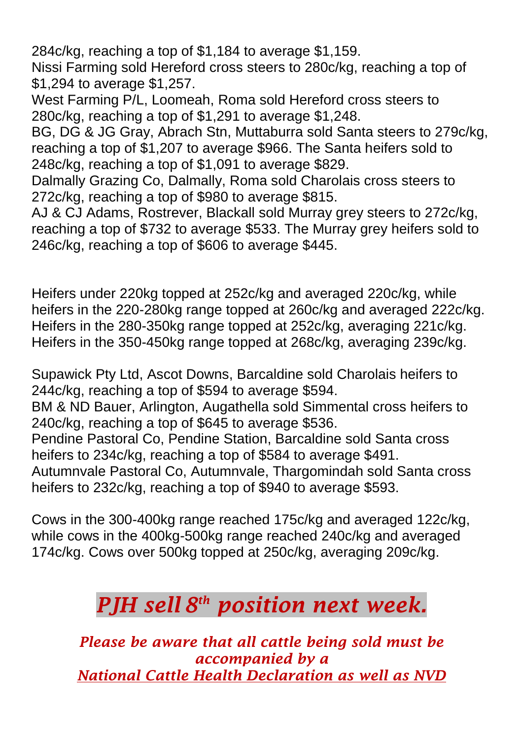284c/kg, reaching a top of \$1,184 to average \$1,159.

Nissi Farming sold Hereford cross steers to 280c/kg, reaching a top of \$1,294 to average \$1,257.

West Farming P/L, Loomeah, Roma sold Hereford cross steers to 280c/kg, reaching a top of \$1,291 to average \$1,248.

BG, DG & JG Gray, Abrach Stn, Muttaburra sold Santa steers to 279c/kg, reaching a top of \$1,207 to average \$966. The Santa heifers sold to 248c/kg, reaching a top of \$1,091 to average \$829.

Dalmally Grazing Co, Dalmally, Roma sold Charolais cross steers to 272c/kg, reaching a top of \$980 to average \$815.

AJ & CJ Adams, Rostrever, Blackall sold Murray grey steers to 272c/kg, reaching a top of \$732 to average \$533. The Murray grey heifers sold to 246c/kg, reaching a top of \$606 to average \$445.

Heifers under 220kg topped at 252c/kg and averaged 220c/kg, while heifers in the 220-280kg range topped at 260c/kg and averaged 222c/kg. Heifers in the 280-350kg range topped at 252c/kg, averaging 221c/kg. Heifers in the 350-450kg range topped at 268c/kg, averaging 239c/kg.

Supawick Pty Ltd, Ascot Downs, Barcaldine sold Charolais heifers to 244c/kg, reaching a top of \$594 to average \$594.

BM & ND Bauer, Arlington, Augathella sold Simmental cross heifers to 240c/kg, reaching a top of \$645 to average \$536.

Pendine Pastoral Co, Pendine Station, Barcaldine sold Santa cross heifers to 234c/kg, reaching a top of \$584 to average \$491.

Autumnvale Pastoral Co, Autumnvale, Thargomindah sold Santa cross heifers to 232c/kg, reaching a top of \$940 to average \$593.

Cows in the 300-400kg range reached 175c/kg and averaged 122c/kg, while cows in the 400kg-500kg range reached 240c/kg and averaged 174c/kg. Cows over 500kg topped at 250c/kg, averaging 209c/kg.

## *PJH sell 8 th position next week.*

*Please be aware that all cattle being sold must be accompanied by a National Cattle Health Declaration as well as NVD*